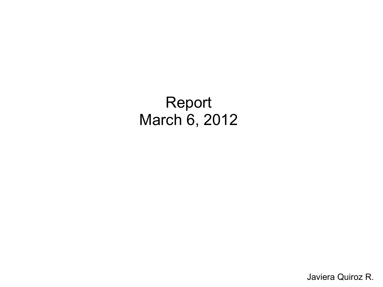#### Report March 6, 2012

Javiera Quiroz R.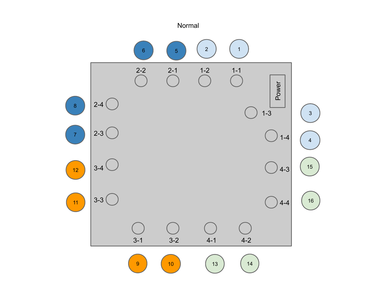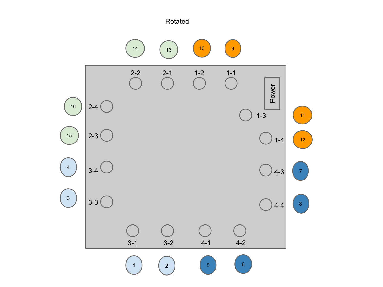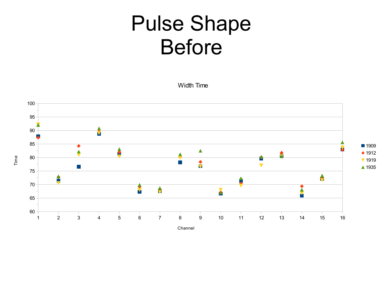# Pulse Shape Before

Width Time



Time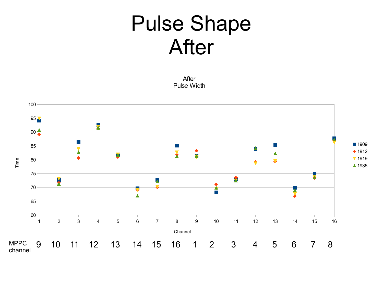## Pulse Shape After

After Pulse Width

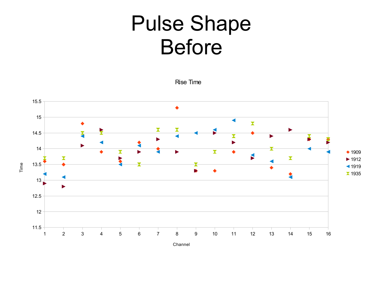## Pulse Shape Before

Rise Time